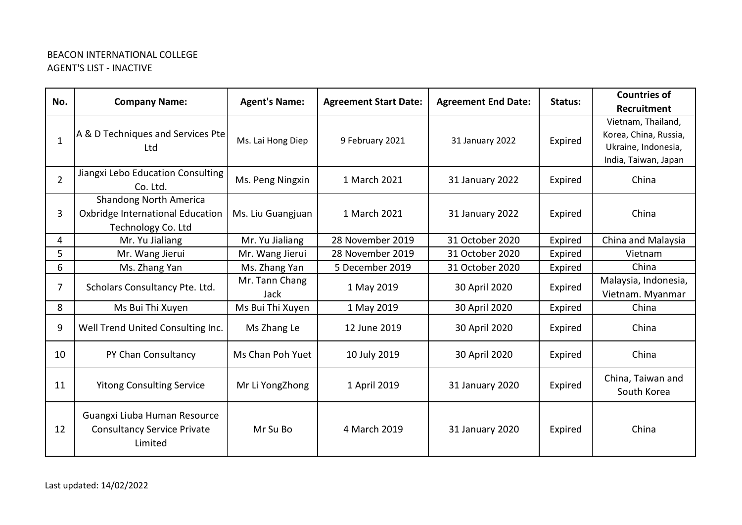## BEACON INTERNATIONAL COLLEGE AGENT'S LIST - INACTIVE

| No.            | <b>Company Name:</b>                                                                    | <b>Agent's Name:</b>          | <b>Agreement Start Date:</b> | <b>Agreement End Date:</b> | Status: | <b>Countries of</b>                                                                        |
|----------------|-----------------------------------------------------------------------------------------|-------------------------------|------------------------------|----------------------------|---------|--------------------------------------------------------------------------------------------|
|                |                                                                                         |                               |                              |                            |         | Recruitment                                                                                |
| $\mathbf{1}$   | A & D Techniques and Services Pte<br>Ltd                                                | Ms. Lai Hong Diep             | 9 February 2021              | 31 January 2022            | Expired | Vietnam, Thailand,<br>Korea, China, Russia,<br>Ukraine, Indonesia,<br>India, Taiwan, Japan |
| $\overline{2}$ | Jiangxi Lebo Education Consulting<br>Co. Ltd.                                           | Ms. Peng Ningxin              | 1 March 2021                 | 31 January 2022            | Expired | China                                                                                      |
| 3              | <b>Shandong North America</b><br>Oxbridge International Education<br>Technology Co. Ltd | Ms. Liu Guangjuan             | 1 March 2021                 | 31 January 2022            | Expired | China                                                                                      |
| $\overline{4}$ | Mr. Yu Jialiang                                                                         | Mr. Yu Jialiang               | 28 November 2019             | 31 October 2020            | Expired | China and Malaysia                                                                         |
| 5              | Mr. Wang Jierui                                                                         | Mr. Wang Jierui               | 28 November 2019             | 31 October 2020            | Expired | Vietnam                                                                                    |
| 6              | Ms. Zhang Yan                                                                           | Ms. Zhang Yan                 | 5 December 2019              | 31 October 2020            | Expired | China                                                                                      |
| 7              | Scholars Consultancy Pte. Ltd.                                                          | Mr. Tann Chang<br><b>Jack</b> | 1 May 2019                   | 30 April 2020              | Expired | Malaysia, Indonesia,<br>Vietnam. Myanmar                                                   |
| 8              | Ms Bui Thi Xuyen                                                                        | Ms Bui Thi Xuyen              | 1 May 2019                   | 30 April 2020              | Expired | China                                                                                      |
| 9              | Well Trend United Consulting Inc.                                                       | Ms Zhang Le                   | 12 June 2019                 | 30 April 2020              | Expired | China                                                                                      |
| 10             | PY Chan Consultancy                                                                     | Ms Chan Poh Yuet              | 10 July 2019                 | 30 April 2020              | Expired | China                                                                                      |
| 11             | <b>Yitong Consulting Service</b>                                                        | Mr Li YongZhong               | 1 April 2019                 | 31 January 2020            | Expired | China, Taiwan and<br>South Korea                                                           |
| 12             | Guangxi Liuba Human Resource<br><b>Consultancy Service Private</b><br>Limited           | Mr Su Bo                      | 4 March 2019                 | 31 January 2020            | Expired | China                                                                                      |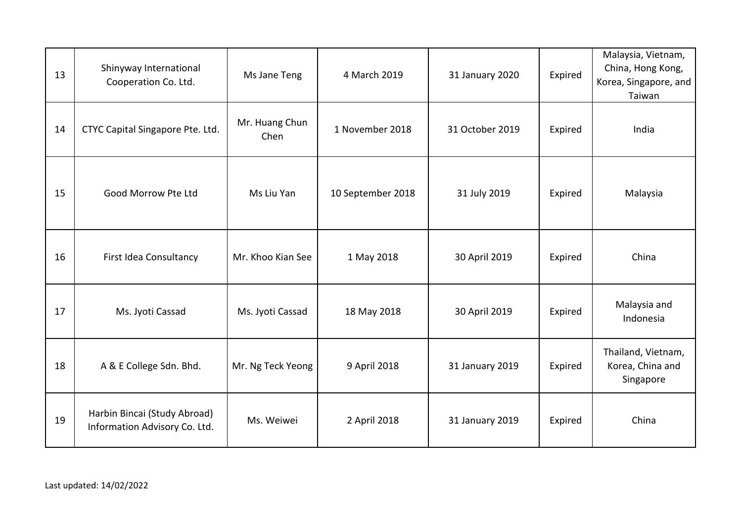| 13 | Shinyway International<br>Cooperation Co. Ltd.                | Ms Jane Teng           | 4 March 2019      | 31 January 2020 | Expired | Malaysia, Vietnam,<br>China, Hong Kong,<br>Korea, Singapore, and<br>Taiwan |
|----|---------------------------------------------------------------|------------------------|-------------------|-----------------|---------|----------------------------------------------------------------------------|
| 14 | CTYC Capital Singapore Pte. Ltd.                              | Mr. Huang Chun<br>Chen | 1 November 2018   | 31 October 2019 | Expired | India                                                                      |
| 15 | Good Morrow Pte Ltd                                           | Ms Liu Yan             | 10 September 2018 | 31 July 2019    | Expired | Malaysia                                                                   |
| 16 | First Idea Consultancy                                        | Mr. Khoo Kian See      | 1 May 2018        | 30 April 2019   | Expired | China                                                                      |
| 17 | Ms. Jyoti Cassad                                              | Ms. Jyoti Cassad       | 18 May 2018       | 30 April 2019   | Expired | Malaysia and<br>Indonesia                                                  |
| 18 | A & E College Sdn. Bhd.                                       | Mr. Ng Teck Yeong      | 9 April 2018      | 31 January 2019 | Expired | Thailand, Vietnam,<br>Korea, China and<br>Singapore                        |
| 19 | Harbin Bincai (Study Abroad)<br>Information Advisory Co. Ltd. | Ms. Weiwei             | 2 April 2018      | 31 January 2019 | Expired | China                                                                      |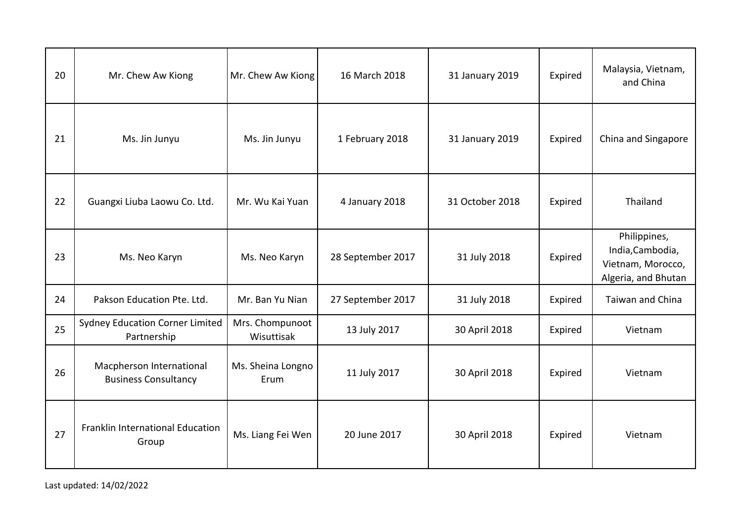| 20 | Mr. Chew Aw Kiong                                       | Mr. Chew Aw Kiong             | 16 March 2018     | 31 January 2019 | Expired | Malaysia, Vietnam,<br>and China                                              |
|----|---------------------------------------------------------|-------------------------------|-------------------|-----------------|---------|------------------------------------------------------------------------------|
| 21 | Ms. Jin Junyu                                           | Ms. Jin Junyu                 | 1 February 2018   | 31 January 2019 | Expired | China and Singapore                                                          |
| 22 | Guangxi Liuba Laowu Co. Ltd.                            | Mr. Wu Kai Yuan               | 4 January 2018    | 31 October 2018 | Expired | Thailand                                                                     |
| 23 | Ms. Neo Karyn                                           | Ms. Neo Karyn                 | 28 September 2017 | 31 July 2018    | Expired | Philippines,<br>India, Cambodia,<br>Vietnam, Morocco,<br>Algeria, and Bhutan |
| 24 | Pakson Education Pte. Ltd.                              | Mr. Ban Yu Nian               | 27 September 2017 | 31 July 2018    | Expired | <b>Taiwan and China</b>                                                      |
| 25 | <b>Sydney Education Corner Limited</b><br>Partnership   | Mrs. Chompunoot<br>Wisuttisak | 13 July 2017      | 30 April 2018   | Expired | Vietnam                                                                      |
| 26 | Macpherson International<br><b>Business Consultancy</b> | Ms. Sheina Longno<br>Erum     | 11 July 2017      | 30 April 2018   | Expired | Vietnam                                                                      |
| 27 | Franklin International Education<br>Group               | Ms. Liang Fei Wen             | 20 June 2017      | 30 April 2018   | Expired | Vietnam                                                                      |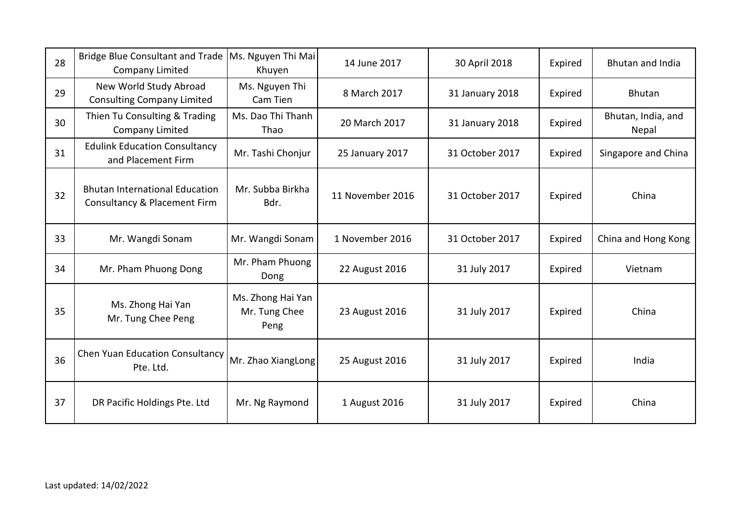| 28 | Bridge Blue Consultant and Trade<br><b>Company Limited</b>            | Ms. Nguyen Thi Mai<br>Khuyen               | 14 June 2017     | 30 April 2018   | Expired | <b>Bhutan and India</b>     |
|----|-----------------------------------------------------------------------|--------------------------------------------|------------------|-----------------|---------|-----------------------------|
| 29 | New World Study Abroad<br><b>Consulting Company Limited</b>           | Ms. Nguyen Thi<br>Cam Tien                 | 8 March 2017     | 31 January 2018 | Expired | <b>Bhutan</b>               |
| 30 | Thien Tu Consulting & Trading<br><b>Company Limited</b>               | Ms. Dao Thi Thanh<br>Thao                  | 20 March 2017    | 31 January 2018 | Expired | Bhutan, India, and<br>Nepal |
| 31 | <b>Edulink Education Consultancy</b><br>and Placement Firm            | Mr. Tashi Chonjur                          | 25 January 2017  | 31 October 2017 | Expired | Singapore and China         |
| 32 | <b>Bhutan International Education</b><br>Consultancy & Placement Firm | Mr. Subba Birkha<br>Bdr.                   | 11 November 2016 | 31 October 2017 | Expired | China                       |
| 33 | Mr. Wangdi Sonam                                                      | Mr. Wangdi Sonam                           | 1 November 2016  | 31 October 2017 | Expired | China and Hong Kong         |
| 34 | Mr. Pham Phuong Dong                                                  | Mr. Pham Phuong<br>Dong                    | 22 August 2016   | 31 July 2017    | Expired | Vietnam                     |
| 35 | Ms. Zhong Hai Yan<br>Mr. Tung Chee Peng                               | Ms. Zhong Hai Yan<br>Mr. Tung Chee<br>Peng | 23 August 2016   | 31 July 2017    | Expired | China                       |
| 36 | Chen Yuan Education Consultancy<br>Pte. Ltd.                          | Mr. Zhao XiangLong                         | 25 August 2016   | 31 July 2017    | Expired | India                       |
| 37 | DR Pacific Holdings Pte. Ltd                                          | Mr. Ng Raymond                             | 1 August 2016    | 31 July 2017    | Expired | China                       |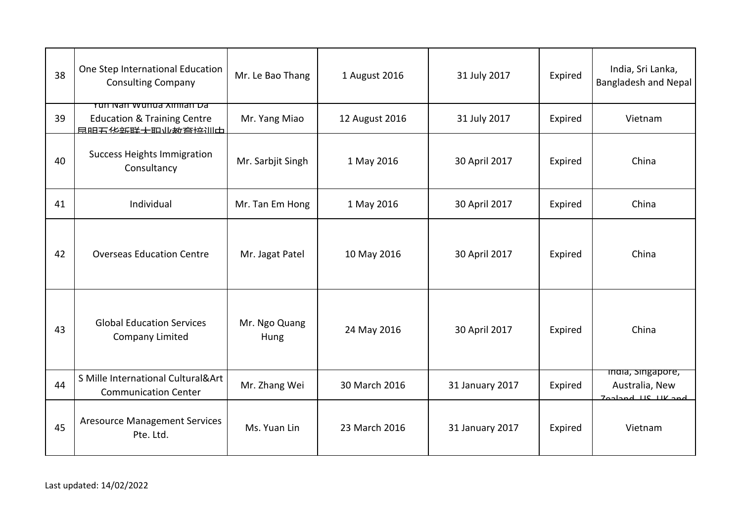| 38 | One Step International Education<br><b>Consulting Company</b>                        | Mr. Le Bao Thang      | 1 August 2016  | 31 July 2017    | Expired | India, Sri Lanka,<br>Bangladesh and Nepal               |
|----|--------------------------------------------------------------------------------------|-----------------------|----------------|-----------------|---------|---------------------------------------------------------|
| 39 | Yun Nan Wunua Xinilan Da<br><b>Education &amp; Training Centre</b><br>县明五化实联十町业数夸拉训出 | Mr. Yang Miao         | 12 August 2016 | 31 July 2017    | Expired | Vietnam                                                 |
| 40 | <b>Success Heights Immigration</b><br>Consultancy                                    | Mr. Sarbjit Singh     | 1 May 2016     | 30 April 2017   | Expired | China                                                   |
| 41 | Individual                                                                           | Mr. Tan Em Hong       | 1 May 2016     | 30 April 2017   | Expired | China                                                   |
| 42 | <b>Overseas Education Centre</b>                                                     | Mr. Jagat Patel       | 10 May 2016    | 30 April 2017   | Expired | China                                                   |
| 43 | <b>Global Education Services</b><br><b>Company Limited</b>                           | Mr. Ngo Quang<br>Hung | 24 May 2016    | 30 April 2017   | Expired | China                                                   |
| 44 | S Mille International Cultural&Art<br><b>Communication Center</b>                    | Mr. Zhang Wei         | 30 March 2016  | 31 January 2017 | Expired | mara, singapore,<br>Australia, New<br>Jordand US UK and |
| 45 | <b>Aresource Management Services</b><br>Pte. Ltd.                                    | Ms. Yuan Lin          | 23 March 2016  | 31 January 2017 | Expired | Vietnam                                                 |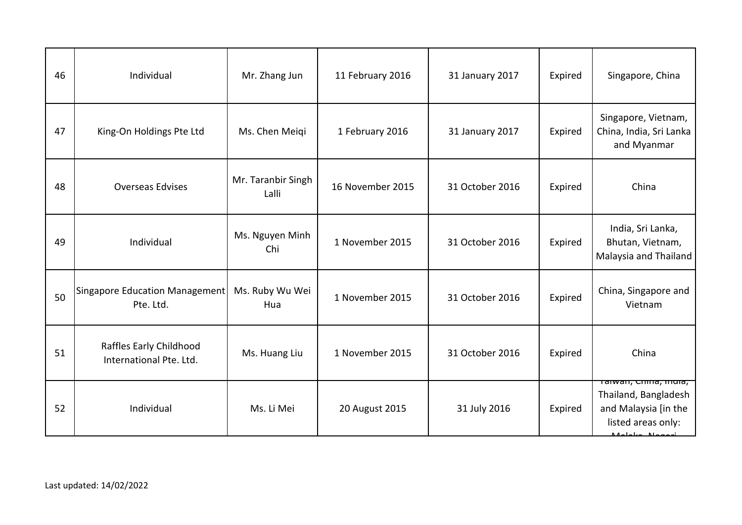| 46 | Individual                                         | Mr. Zhang Jun               | 11 February 2016 | 31 January 2017 | Expired | Singapore, China                                                                                                       |
|----|----------------------------------------------------|-----------------------------|------------------|-----------------|---------|------------------------------------------------------------------------------------------------------------------------|
| 47 | King-On Holdings Pte Ltd                           | Ms. Chen Meiqi              | 1 February 2016  | 31 January 2017 | Expired | Singapore, Vietnam,<br>China, India, Sri Lanka<br>and Myanmar                                                          |
| 48 | <b>Overseas Edvises</b>                            | Mr. Taranbir Singh<br>Lalli | 16 November 2015 | 31 October 2016 | Expired | China                                                                                                                  |
| 49 | Individual                                         | Ms. Nguyen Minh<br>Chi      | 1 November 2015  | 31 October 2016 | Expired | India, Sri Lanka,<br>Bhutan, Vietnam,<br>Malaysia and Thailand                                                         |
| 50 | Singapore Education Management<br>Pte. Ltd.        | Ms. Ruby Wu Wei<br>Hua      | 1 November 2015  | 31 October 2016 | Expired | China, Singapore and<br>Vietnam                                                                                        |
| 51 | Raffles Early Childhood<br>International Pte. Ltd. | Ms. Huang Liu               | 1 November 2015  | 31 October 2016 | Expired | China                                                                                                                  |
| 52 | Individual                                         | Ms. Li Mei                  | 20 August 2015   | 31 July 2016    | Expired | <del>Taiwan, China, mula,</del><br>Thailand, Bangladesh<br>and Malaysia [in the<br>listed areas only:<br>Malaka Magari |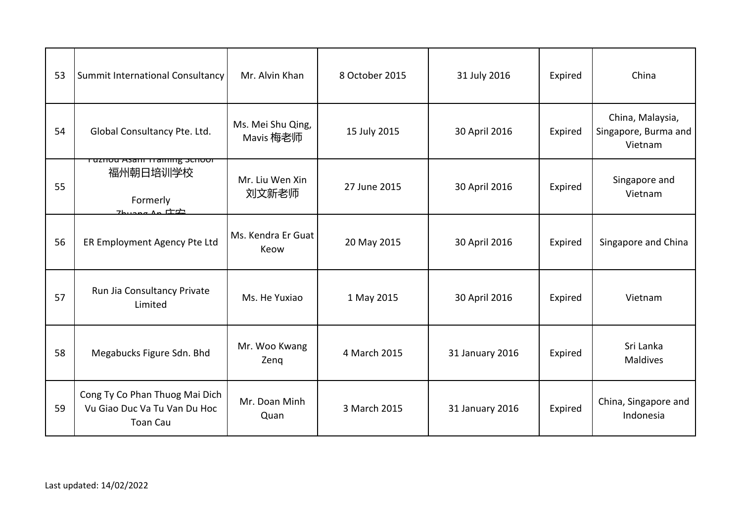| 53 | Summit International Consultancy                                                              | Mr. Alvin Khan                 | 8 October 2015 | 31 July 2016    | Expired | China                                               |
|----|-----------------------------------------------------------------------------------------------|--------------------------------|----------------|-----------------|---------|-----------------------------------------------------|
| 54 | Global Consultancy Pte. Ltd.                                                                  | Ms. Mei Shu Qing,<br>Mavis 梅老师 | 15 July 2015   | 30 April 2016   | Expired | China, Malaysia,<br>Singapore, Burma and<br>Vietnam |
| 55 | Fuznou Asam Training Schoor<br>福州朝日培训学校<br>Formerly<br>$7$ buang An $\Pi$ $\dot{\mathcal{D}}$ | Mr. Liu Wen Xin<br>刘文新老师       | 27 June 2015   | 30 April 2016   | Expired | Singapore and<br>Vietnam                            |
| 56 | ER Employment Agency Pte Ltd                                                                  | Ms. Kendra Er Guat<br>Keow     | 20 May 2015    | 30 April 2016   | Expired | Singapore and China                                 |
| 57 | Run Jia Consultancy Private<br>Limited                                                        | Ms. He Yuxiao                  | 1 May 2015     | 30 April 2016   | Expired | Vietnam                                             |
| 58 | Megabucks Figure Sdn. Bhd                                                                     | Mr. Woo Kwang<br>Zenq          | 4 March 2015   | 31 January 2016 | Expired | Sri Lanka<br><b>Maldives</b>                        |
| 59 | Cong Ty Co Phan Thuog Mai Dich<br>Vu Giao Duc Va Tu Van Du Hoc<br><b>Toan Cau</b>             | Mr. Doan Minh<br>Quan          | 3 March 2015   | 31 January 2016 | Expired | China, Singapore and<br>Indonesia                   |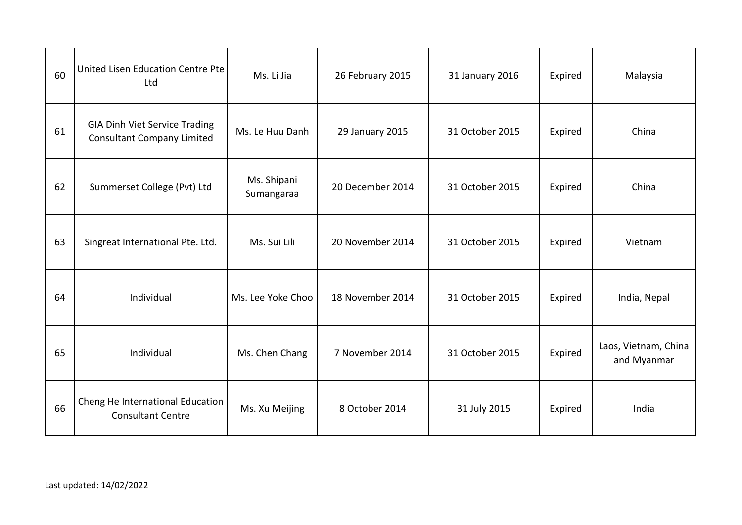| 60 | United Lisen Education Centre Pte<br>Ltd                                  | Ms. Li Jia                | 26 February 2015 | 31 January 2016 | Expired | Malaysia                            |
|----|---------------------------------------------------------------------------|---------------------------|------------------|-----------------|---------|-------------------------------------|
| 61 | <b>GIA Dinh Viet Service Trading</b><br><b>Consultant Company Limited</b> | Ms. Le Huu Danh           | 29 January 2015  | 31 October 2015 | Expired | China                               |
| 62 | Summerset College (Pvt) Ltd                                               | Ms. Shipani<br>Sumangaraa | 20 December 2014 | 31 October 2015 | Expired | China                               |
| 63 | Singreat International Pte. Ltd.                                          | Ms. Sui Lili              | 20 November 2014 | 31 October 2015 | Expired | Vietnam                             |
| 64 | Individual                                                                | Ms. Lee Yoke Choo         | 18 November 2014 | 31 October 2015 | Expired | India, Nepal                        |
| 65 | Individual                                                                | Ms. Chen Chang            | 7 November 2014  | 31 October 2015 | Expired | Laos, Vietnam, China<br>and Myanmar |
| 66 | Cheng He International Education<br><b>Consultant Centre</b>              | Ms. Xu Meijing            | 8 October 2014   | 31 July 2015    | Expired | India                               |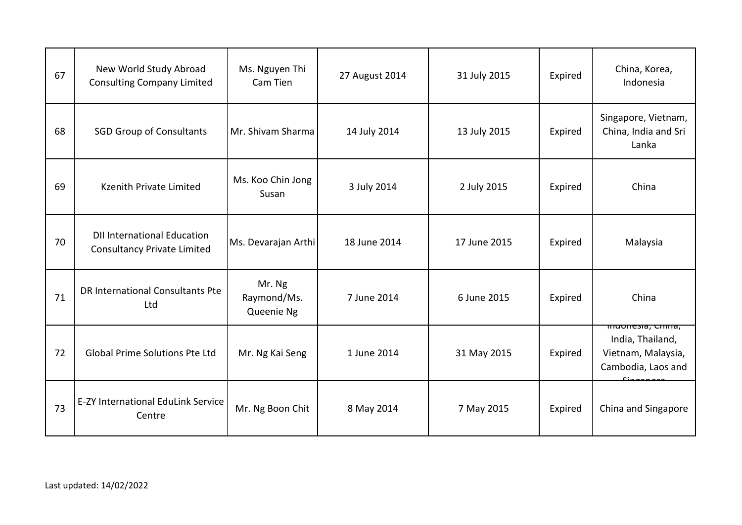| 67 | New World Study Abroad<br><b>Consulting Company Limited</b>              | Ms. Nguyen Thi<br>Cam Tien          | 27 August 2014 | 31 July 2015 | Expired | China, Korea,<br>Indonesia                                                                                |
|----|--------------------------------------------------------------------------|-------------------------------------|----------------|--------------|---------|-----------------------------------------------------------------------------------------------------------|
| 68 | <b>SGD Group of Consultants</b>                                          | Mr. Shivam Sharma                   | 14 July 2014   | 13 July 2015 | Expired | Singapore, Vietnam,<br>China, India and Sri<br>Lanka                                                      |
| 69 | Kzenith Private Limited                                                  | Ms. Koo Chin Jong<br>Susan          | 3 July 2014    | 2 July 2015  | Expired | China                                                                                                     |
| 70 | <b>DII International Education</b><br><b>Consultancy Private Limited</b> | Ms. Devarajan Arthi                 | 18 June 2014   | 17 June 2015 | Expired | Malaysia                                                                                                  |
| 71 | DR International Consultants Pte<br>Ltd                                  | Mr. Ng<br>Raymond/Ms.<br>Queenie Ng | 7 June 2014    | 6 June 2015  | Expired | China                                                                                                     |
| 72 | <b>Global Prime Solutions Pte Ltd</b>                                    | Mr. Ng Kai Seng                     | 1 June 2014    | 31 May 2015  | Expired | <del>muonesia, cilina,</del><br>India, Thailand,<br>Vietnam, Malaysia,<br>Cambodia, Laos and<br>معمممممنا |
| 73 | <b>E-ZY International EduLink Service</b><br>Centre                      | Mr. Ng Boon Chit                    | 8 May 2014     | 7 May 2015   | Expired | China and Singapore                                                                                       |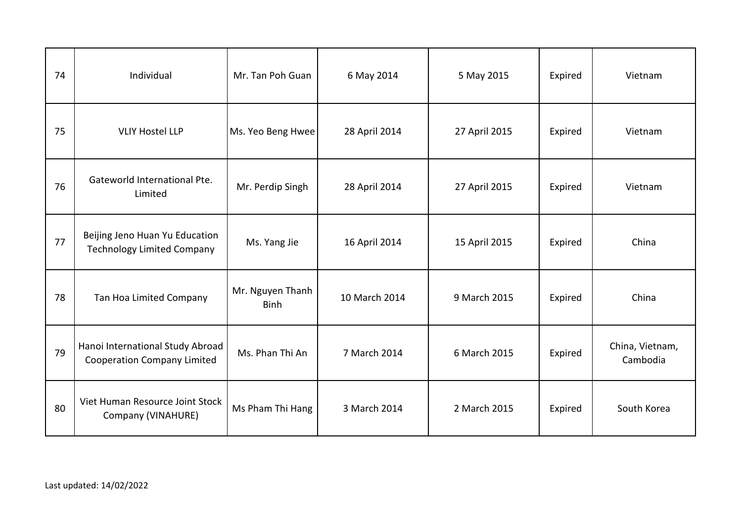| 74 | Individual                                                             | Mr. Tan Poh Guan                | 6 May 2014    | 5 May 2015    | Expired | Vietnam                     |
|----|------------------------------------------------------------------------|---------------------------------|---------------|---------------|---------|-----------------------------|
| 75 | <b>VLIY Hostel LLP</b>                                                 | Ms. Yeo Beng Hwee               | 28 April 2014 | 27 April 2015 | Expired | Vietnam                     |
| 76 | Gateworld International Pte.<br>Limited                                | Mr. Perdip Singh                | 28 April 2014 | 27 April 2015 | Expired | Vietnam                     |
| 77 | Beijing Jeno Huan Yu Education<br><b>Technology Limited Company</b>    | Ms. Yang Jie                    | 16 April 2014 | 15 April 2015 | Expired | China                       |
| 78 | Tan Hoa Limited Company                                                | Mr. Nguyen Thanh<br><b>Binh</b> | 10 March 2014 | 9 March 2015  | Expired | China                       |
| 79 | Hanoi International Study Abroad<br><b>Cooperation Company Limited</b> | Ms. Phan Thi An                 | 7 March 2014  | 6 March 2015  | Expired | China, Vietnam,<br>Cambodia |
| 80 | Viet Human Resource Joint Stock<br>Company (VINAHURE)                  | Ms Pham Thi Hang                | 3 March 2014  | 2 March 2015  | Expired | South Korea                 |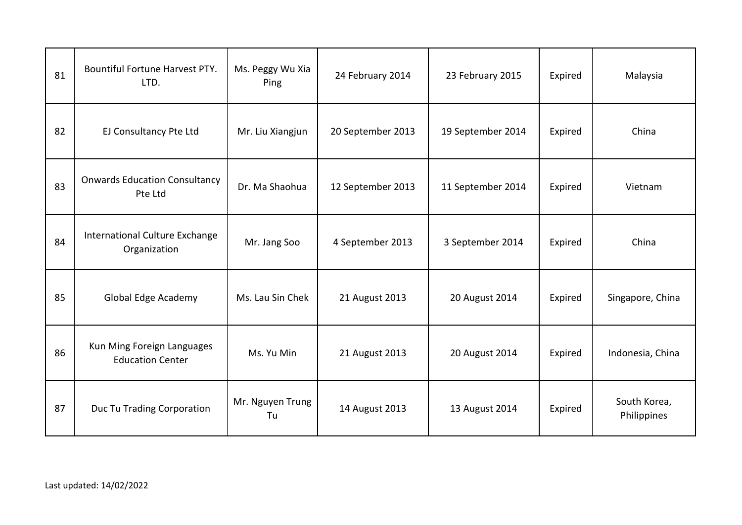| 81 | Bountiful Fortune Harvest PTY.<br>LTD.                | Ms. Peggy Wu Xia<br>Ping | 24 February 2014  | 23 February 2015  | Expired | Malaysia                    |
|----|-------------------------------------------------------|--------------------------|-------------------|-------------------|---------|-----------------------------|
| 82 | EJ Consultancy Pte Ltd                                | Mr. Liu Xiangjun         | 20 September 2013 | 19 September 2014 | Expired | China                       |
| 83 | <b>Onwards Education Consultancy</b><br>Pte Ltd       | Dr. Ma Shaohua           | 12 September 2013 | 11 September 2014 | Expired | Vietnam                     |
| 84 | International Culture Exchange<br>Organization        | Mr. Jang Soo             | 4 September 2013  | 3 September 2014  | Expired | China                       |
| 85 | Global Edge Academy                                   | Ms. Lau Sin Chek         | 21 August 2013    | 20 August 2014    | Expired | Singapore, China            |
| 86 | Kun Ming Foreign Languages<br><b>Education Center</b> | Ms. Yu Min               | 21 August 2013    | 20 August 2014    | Expired | Indonesia, China            |
| 87 | Duc Tu Trading Corporation                            | Mr. Nguyen Trung<br>Tu   | 14 August 2013    | 13 August 2014    | Expired | South Korea,<br>Philippines |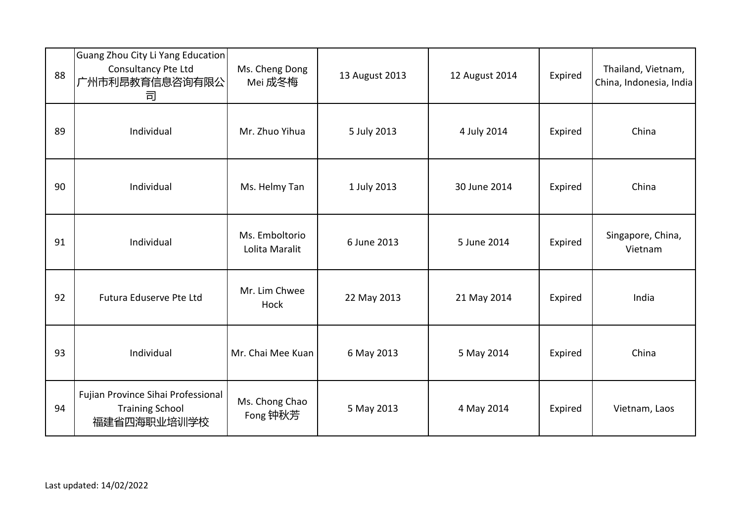| 88 | Guang Zhou City Li Yang Education<br>Consultancy Pte Ltd<br>广州市利昂教育信息咨询有限公<br>司 | Ms. Cheng Dong<br>Mei 成冬梅        | 13 August 2013 | 12 August 2014 | Expired | Thailand, Vietnam,<br>China, Indonesia, India |
|----|---------------------------------------------------------------------------------|----------------------------------|----------------|----------------|---------|-----------------------------------------------|
| 89 | Individual                                                                      | Mr. Zhuo Yihua                   | 5 July 2013    | 4 July 2014    | Expired | China                                         |
| 90 | Individual                                                                      | Ms. Helmy Tan                    | 1 July 2013    | 30 June 2014   | Expired | China                                         |
| 91 | Individual                                                                      | Ms. Emboltorio<br>Lolita Maralit | 6 June 2013    | 5 June 2014    | Expired | Singapore, China,<br>Vietnam                  |
| 92 | Futura Eduserve Pte Ltd                                                         | Mr. Lim Chwee<br><b>Hock</b>     | 22 May 2013    | 21 May 2014    | Expired | India                                         |
| 93 | Individual                                                                      | Mr. Chai Mee Kuan                | 6 May 2013     | 5 May 2014     | Expired | China                                         |
| 94 | Fujian Province Sihai Professional<br><b>Training School</b><br>福建省四海职业培训学校     | Ms. Chong Chao<br>Fong 钟秋芳       | 5 May 2013     | 4 May 2014     | Expired | Vietnam, Laos                                 |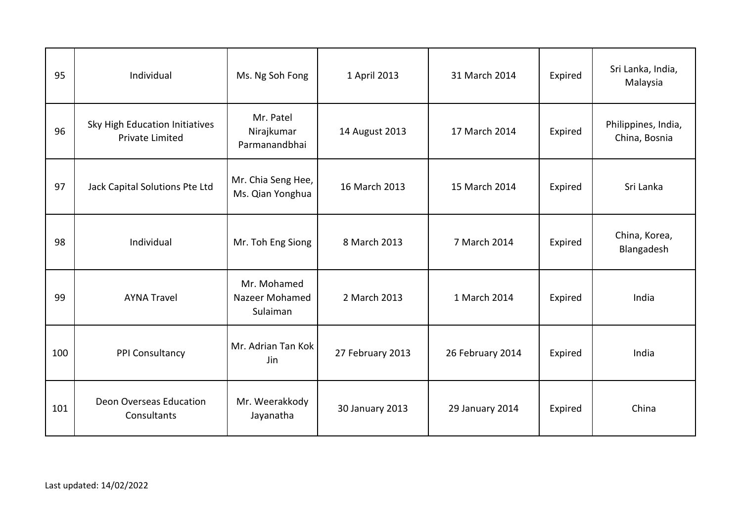| 95  | Individual                                               | Ms. Ng Soh Fong                           | 1 April 2013     | 31 March 2014    | Expired | Sri Lanka, India,<br>Malaysia        |
|-----|----------------------------------------------------------|-------------------------------------------|------------------|------------------|---------|--------------------------------------|
| 96  | Sky High Education Initiatives<br><b>Private Limited</b> | Mr. Patel<br>Nirajkumar<br>Parmanandbhai  | 14 August 2013   | 17 March 2014    | Expired | Philippines, India,<br>China, Bosnia |
| 97  | Jack Capital Solutions Pte Ltd                           | Mr. Chia Seng Hee,<br>Ms. Qian Yonghua    | 16 March 2013    | 15 March 2014    | Expired | Sri Lanka                            |
| 98  | Individual                                               | Mr. Toh Eng Siong                         | 8 March 2013     | 7 March 2014     | Expired | China, Korea,<br>Blangadesh          |
| 99  | <b>AYNA Travel</b>                                       | Mr. Mohamed<br>Nazeer Mohamed<br>Sulaiman | 2 March 2013     | 1 March 2014     | Expired | India                                |
| 100 | PPI Consultancy                                          | Mr. Adrian Tan Kok<br>Jin                 | 27 February 2013 | 26 February 2014 | Expired | India                                |
| 101 | Deon Overseas Education<br>Consultants                   | Mr. Weerakkody<br>Jayanatha               | 30 January 2013  | 29 January 2014  | Expired | China                                |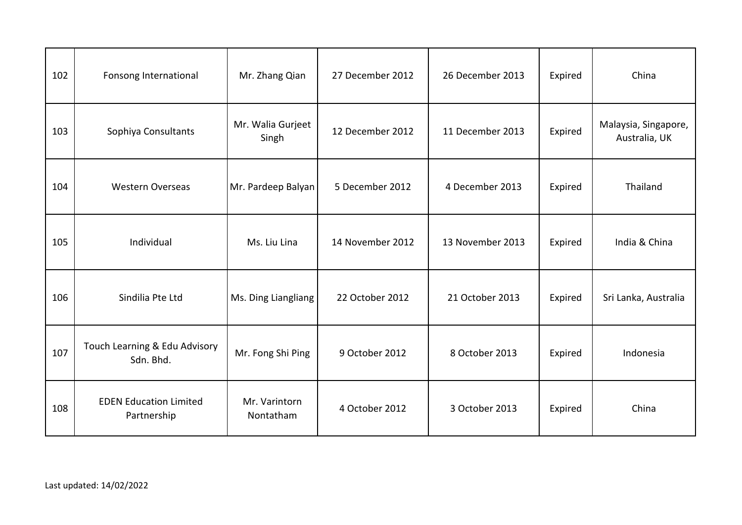| 102 | Fonsong International                        | Mr. Zhang Qian             | 27 December 2012 | 26 December 2013 | Expired | China                                 |
|-----|----------------------------------------------|----------------------------|------------------|------------------|---------|---------------------------------------|
| 103 | Sophiya Consultants                          | Mr. Walia Gurjeet<br>Singh | 12 December 2012 | 11 December 2013 | Expired | Malaysia, Singapore,<br>Australia, UK |
| 104 | <b>Western Overseas</b>                      | Mr. Pardeep Balyan         | 5 December 2012  | 4 December 2013  | Expired | Thailand                              |
| 105 | Individual                                   | Ms. Liu Lina               | 14 November 2012 | 13 November 2013 | Expired | India & China                         |
| 106 | Sindilia Pte Ltd                             | Ms. Ding Liangliang        | 22 October 2012  | 21 October 2013  | Expired | Sri Lanka, Australia                  |
| 107 | Touch Learning & Edu Advisory<br>Sdn. Bhd.   | Mr. Fong Shi Ping          | 9 October 2012   | 8 October 2013   | Expired | Indonesia                             |
| 108 | <b>EDEN Education Limited</b><br>Partnership | Mr. Varintorn<br>Nontatham | 4 October 2012   | 3 October 2013   | Expired | China                                 |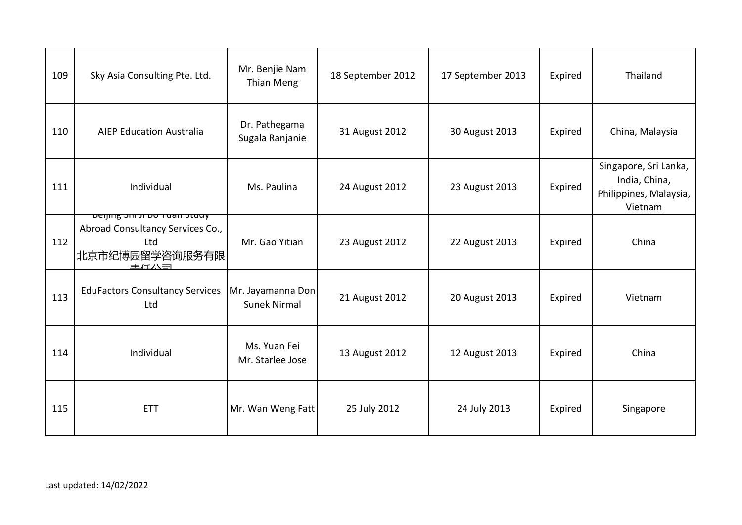| 109 | Sky Asia Consulting Pte. Ltd.                                                                                         | Mr. Benjie Nam<br>Thian Meng             | 18 September 2012 | 17 September 2013 | Expired | Thailand                                                                    |
|-----|-----------------------------------------------------------------------------------------------------------------------|------------------------------------------|-------------------|-------------------|---------|-----------------------------------------------------------------------------|
| 110 | <b>AIEP Education Australia</b>                                                                                       | Dr. Pathegama<br>Sugala Ranjanie         | 31 August 2012    | 30 August 2013    | Expired | China, Malaysia                                                             |
| 111 | Individual                                                                                                            | Ms. Paulina                              | 24 August 2012    | 23 August 2013    | Expired | Singapore, Sri Lanka,<br>India, China,<br>Philippines, Malaysia,<br>Vietnam |
| 112 | <del>beijing <i>sin ii</i> bo ruan stuuy</del><br>Abroad Consultancy Services Co.,<br>Ltd<br>北京市纪博园留学咨询服务有限 <br>主/エハヨ | Mr. Gao Yitian                           | 23 August 2012    | 22 August 2013    | Expired | China                                                                       |
| 113 | <b>EduFactors Consultancy Services</b><br>Ltd                                                                         | Mr. Jayamanna Don<br><b>Sunek Nirmal</b> | 21 August 2012    | 20 August 2013    | Expired | Vietnam                                                                     |
| 114 | Individual                                                                                                            | Ms. Yuan Fei<br>Mr. Starlee Jose         | 13 August 2012    | 12 August 2013    | Expired | China                                                                       |
| 115 | <b>ETT</b>                                                                                                            | Mr. Wan Weng Fatt                        | 25 July 2012      | 24 July 2013      | Expired | Singapore                                                                   |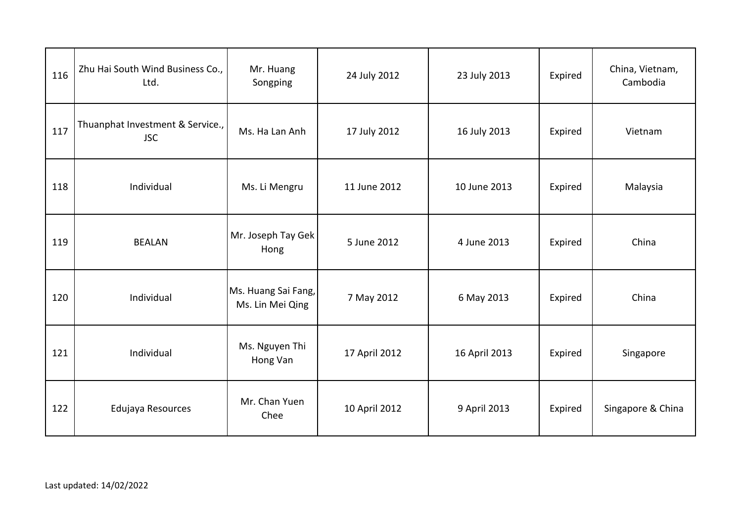| 116 | Zhu Hai South Wind Business Co.,<br>Ltd.       | Mr. Huang<br>Songping                   | 24 July 2012  | 23 July 2013  | Expired | China, Vietnam,<br>Cambodia |
|-----|------------------------------------------------|-----------------------------------------|---------------|---------------|---------|-----------------------------|
| 117 | Thuanphat Investment & Service.,<br><b>JSC</b> | Ms. Ha Lan Anh                          | 17 July 2012  | 16 July 2013  | Expired | Vietnam                     |
| 118 | Individual                                     | Ms. Li Mengru                           | 11 June 2012  | 10 June 2013  | Expired | Malaysia                    |
| 119 | <b>BEALAN</b>                                  | Mr. Joseph Tay Gek<br>Hong              | 5 June 2012   | 4 June 2013   | Expired | China                       |
| 120 | Individual                                     | Ms. Huang Sai Fang,<br>Ms. Lin Mei Qing | 7 May 2012    | 6 May 2013    | Expired | China                       |
| 121 | Individual                                     | Ms. Nguyen Thi<br>Hong Van              | 17 April 2012 | 16 April 2013 | Expired | Singapore                   |
| 122 | Edujaya Resources                              | Mr. Chan Yuen<br>Chee                   | 10 April 2012 | 9 April 2013  | Expired | Singapore & China           |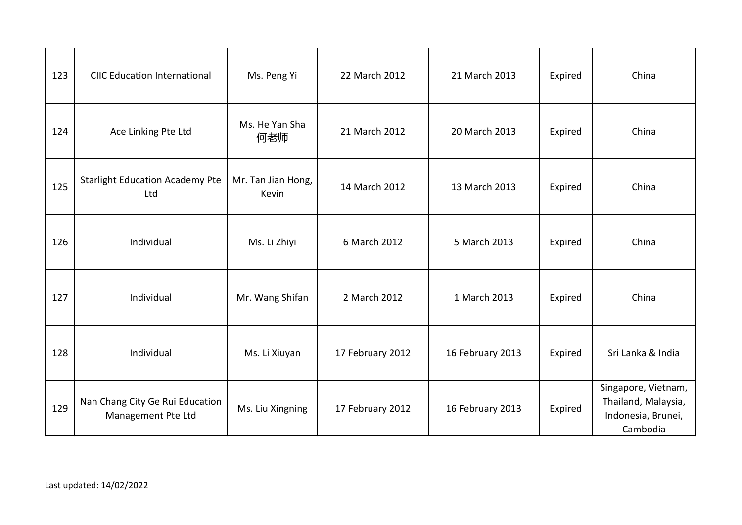| 123 | <b>CIIC Education International</b>                   | Ms. Peng Yi                 | 22 March 2012    | 21 March 2013    | Expired | China                                                                        |
|-----|-------------------------------------------------------|-----------------------------|------------------|------------------|---------|------------------------------------------------------------------------------|
| 124 | Ace Linking Pte Ltd                                   | Ms. He Yan Sha<br>何老师       | 21 March 2012    | 20 March 2013    | Expired | China                                                                        |
| 125 | <b>Starlight Education Academy Pte</b><br>Ltd         | Mr. Tan Jian Hong,<br>Kevin | 14 March 2012    | 13 March 2013    | Expired | China                                                                        |
| 126 | Individual                                            | Ms. Li Zhiyi                | 6 March 2012     | 5 March 2013     | Expired | China                                                                        |
| 127 | Individual                                            | Mr. Wang Shifan             | 2 March 2012     | 1 March 2013     | Expired | China                                                                        |
| 128 | Individual                                            | Ms. Li Xiuyan               | 17 February 2012 | 16 February 2013 | Expired | Sri Lanka & India                                                            |
| 129 | Nan Chang City Ge Rui Education<br>Management Pte Ltd | Ms. Liu Xingning            | 17 February 2012 | 16 February 2013 | Expired | Singapore, Vietnam,<br>Thailand, Malaysia,<br>Indonesia, Brunei,<br>Cambodia |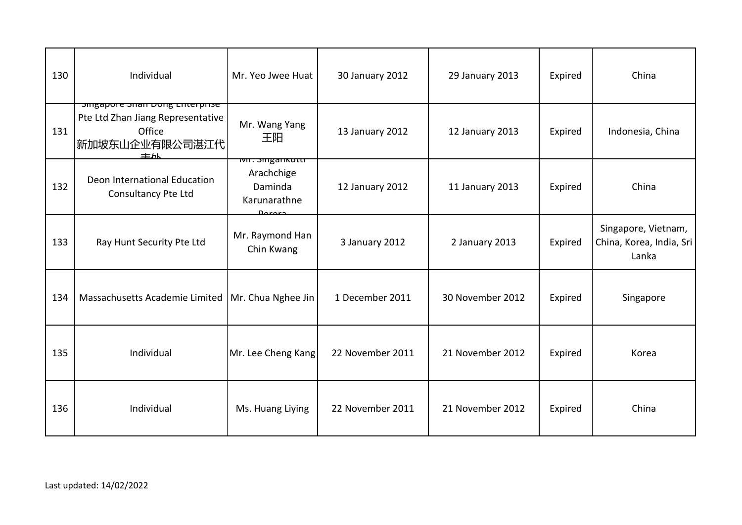| 130 | Individual                                                                                                   | Mr. Yeo Jwee Huat                               | 30 January 2012  | 29 January 2013  | Expired | China                                                    |
|-----|--------------------------------------------------------------------------------------------------------------|-------------------------------------------------|------------------|------------------|---------|----------------------------------------------------------|
| 131 | <b>Singapore Sharroong Enterprise</b><br>Pte Ltd Zhan Jiang Representative<br>Office<br>新加坡东山企业有限公司湛江代<br>主从 | Mr. Wang Yang<br>王阳                             | 13 January 2012  | 12 January 2013  | Expired | Indonesia, China                                         |
| 132 | Deon International Education<br>Consultancy Pte Ltd                                                          | Arachchige<br>Daminda<br>Karunarathne<br>Dororo | 12 January 2012  | 11 January 2013  | Expired | China                                                    |
| 133 | Ray Hunt Security Pte Ltd                                                                                    | Mr. Raymond Han<br>Chin Kwang                   | 3 January 2012   | 2 January 2013   | Expired | Singapore, Vietnam,<br>China, Korea, India, Sri<br>Lanka |
| 134 | Massachusetts Academie Limited   Mr. Chua Nghee Jin                                                          |                                                 | 1 December 2011  | 30 November 2012 | Expired | Singapore                                                |
| 135 | Individual                                                                                                   | Mr. Lee Cheng Kang                              | 22 November 2011 | 21 November 2012 | Expired | Korea                                                    |
| 136 | Individual                                                                                                   | Ms. Huang Liying                                | 22 November 2011 | 21 November 2012 | Expired | China                                                    |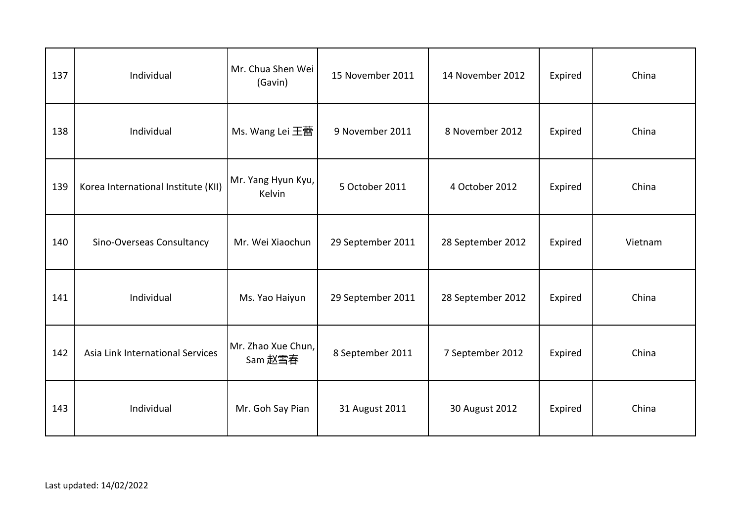| 137 | Individual                          | Mr. Chua Shen Wei<br>(Gavin)  | 15 November 2011  | 14 November 2012  | Expired | China   |
|-----|-------------------------------------|-------------------------------|-------------------|-------------------|---------|---------|
| 138 | Individual                          | Ms. Wang Lei 王蕾               | 9 November 2011   | 8 November 2012   | Expired | China   |
| 139 | Korea International Institute (KII) | Mr. Yang Hyun Kyu,<br>Kelvin  | 5 October 2011    | 4 October 2012    | Expired | China   |
| 140 | Sino-Overseas Consultancy           | Mr. Wei Xiaochun              | 29 September 2011 | 28 September 2012 | Expired | Vietnam |
| 141 | Individual                          | Ms. Yao Haiyun                | 29 September 2011 | 28 September 2012 | Expired | China   |
| 142 | Asia Link International Services    | Mr. Zhao Xue Chun,<br>Sam 赵雪春 | 8 September 2011  | 7 September 2012  | Expired | China   |
| 143 | Individual                          | Mr. Goh Say Pian              | 31 August 2011    | 30 August 2012    | Expired | China   |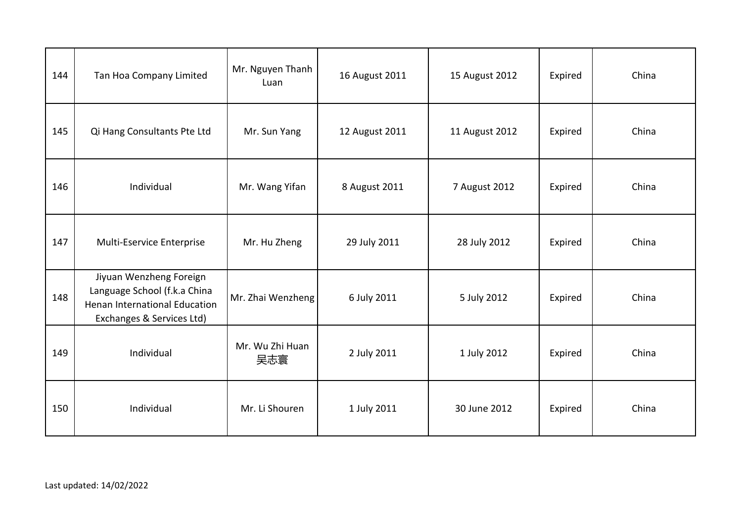| 144 | Tan Hoa Company Limited                                                                                               | Mr. Nguyen Thanh<br>Luan | 16 August 2011 | 15 August 2012 | Expired | China |
|-----|-----------------------------------------------------------------------------------------------------------------------|--------------------------|----------------|----------------|---------|-------|
| 145 | Qi Hang Consultants Pte Ltd                                                                                           | Mr. Sun Yang             | 12 August 2011 | 11 August 2012 | Expired | China |
| 146 | Individual                                                                                                            | Mr. Wang Yifan           | 8 August 2011  | 7 August 2012  | Expired | China |
| 147 | Multi-Eservice Enterprise                                                                                             | Mr. Hu Zheng             | 29 July 2011   | 28 July 2012   | Expired | China |
| 148 | Jiyuan Wenzheng Foreign<br>Language School (f.k.a China<br>Henan International Education<br>Exchanges & Services Ltd) | Mr. Zhai Wenzheng        | 6 July 2011    | 5 July 2012    | Expired | China |
| 149 | Individual                                                                                                            | Mr. Wu Zhi Huan<br>吴志寰   | 2 July 2011    | 1 July 2012    | Expired | China |
| 150 | Individual                                                                                                            | Mr. Li Shouren           | 1 July 2011    | 30 June 2012   | Expired | China |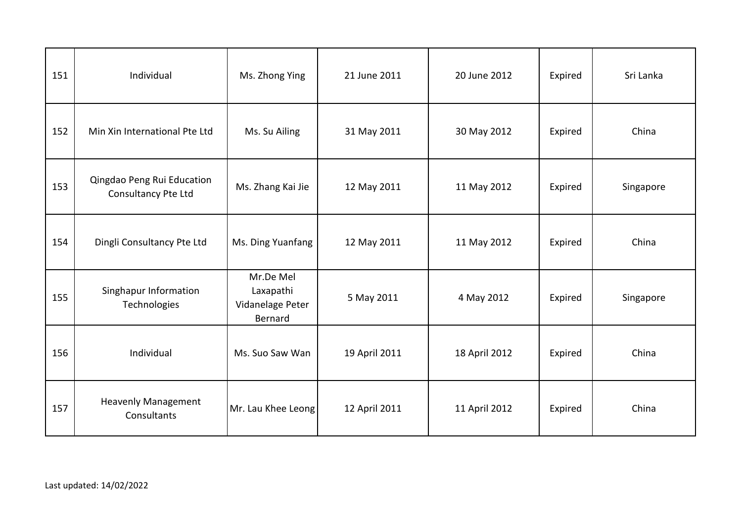| 151 | Individual                                        | Ms. Zhong Ying                                        | 21 June 2011  | 20 June 2012  | Expired | Sri Lanka |
|-----|---------------------------------------------------|-------------------------------------------------------|---------------|---------------|---------|-----------|
| 152 | Min Xin International Pte Ltd                     | Ms. Su Ailing                                         | 31 May 2011   | 30 May 2012   | Expired | China     |
| 153 | Qingdao Peng Rui Education<br>Consultancy Pte Ltd | Ms. Zhang Kai Jie                                     | 12 May 2011   | 11 May 2012   | Expired | Singapore |
| 154 | Dingli Consultancy Pte Ltd                        | Ms. Ding Yuanfang                                     | 12 May 2011   | 11 May 2012   | Expired | China     |
| 155 | Singhapur Information<br>Technologies             | Mr.De Mel<br>Laxapathi<br>Vidanelage Peter<br>Bernard | 5 May 2011    | 4 May 2012    | Expired | Singapore |
| 156 | Individual                                        | Ms. Suo Saw Wan                                       | 19 April 2011 | 18 April 2012 | Expired | China     |
| 157 | <b>Heavenly Management</b><br>Consultants         | Mr. Lau Khee Leong                                    | 12 April 2011 | 11 April 2012 | Expired | China     |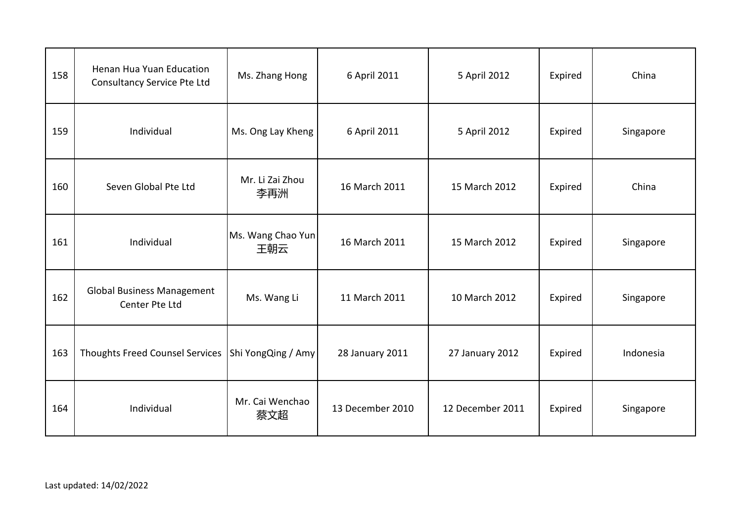| 158 | Henan Hua Yuan Education<br>Consultancy Service Pte Ltd | Ms. Zhang Hong           | 6 April 2011     | 5 April 2012     | Expired | China     |
|-----|---------------------------------------------------------|--------------------------|------------------|------------------|---------|-----------|
| 159 | Individual                                              | Ms. Ong Lay Kheng        | 6 April 2011     | 5 April 2012     | Expired | Singapore |
| 160 | Seven Global Pte Ltd                                    | Mr. Li Zai Zhou<br>李再洲   | 16 March 2011    | 15 March 2012    | Expired | China     |
| 161 | Individual                                              | Ms. Wang Chao Yun<br>王朝云 | 16 March 2011    | 15 March 2012    | Expired | Singapore |
| 162 | <b>Global Business Management</b><br>Center Pte Ltd     | Ms. Wang Li              | 11 March 2011    | 10 March 2012    | Expired | Singapore |
| 163 | Thoughts Freed Counsel Services   Shi Yong Qing / Amy   |                          | 28 January 2011  | 27 January 2012  | Expired | Indonesia |
| 164 | Individual                                              | Mr. Cai Wenchao<br>蔡文超   | 13 December 2010 | 12 December 2011 | Expired | Singapore |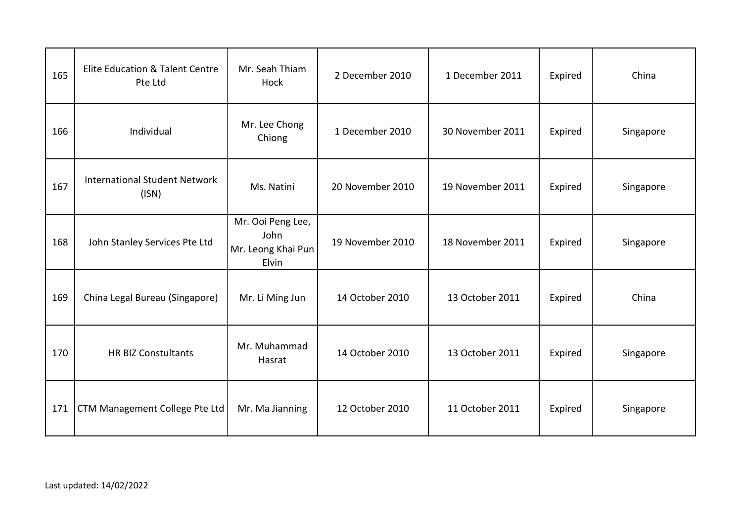| 165 | Elite Education & Talent Centre<br>Pte Ltd    | Mr. Seah Thiam<br>Hock                                   | 2 December 2010  | 1 December 2011  | Expired | China     |
|-----|-----------------------------------------------|----------------------------------------------------------|------------------|------------------|---------|-----------|
| 166 | Individual                                    | Mr. Lee Chong<br>Chiong                                  | 1 December 2010  | 30 November 2011 | Expired | Singapore |
| 167 | <b>International Student Network</b><br>(ISN) | Ms. Natini                                               | 20 November 2010 | 19 November 2011 | Expired | Singapore |
| 168 | John Stanley Services Pte Ltd                 | Mr. Ooi Peng Lee,<br>John<br>Mr. Leong Khai Pun<br>Elvin | 19 November 2010 | 18 November 2011 | Expired | Singapore |
| 169 | China Legal Bureau (Singapore)                | Mr. Li Ming Jun                                          | 14 October 2010  | 13 October 2011  | Expired | China     |
| 170 | <b>HR BIZ Constultants</b>                    | Mr. Muhammad<br>Hasrat                                   | 14 October 2010  | 13 October 2011  | Expired | Singapore |
| 171 | CTM Management College Pte Ltd                | Mr. Ma Jianning                                          | 12 October 2010  | 11 October 2011  | Expired | Singapore |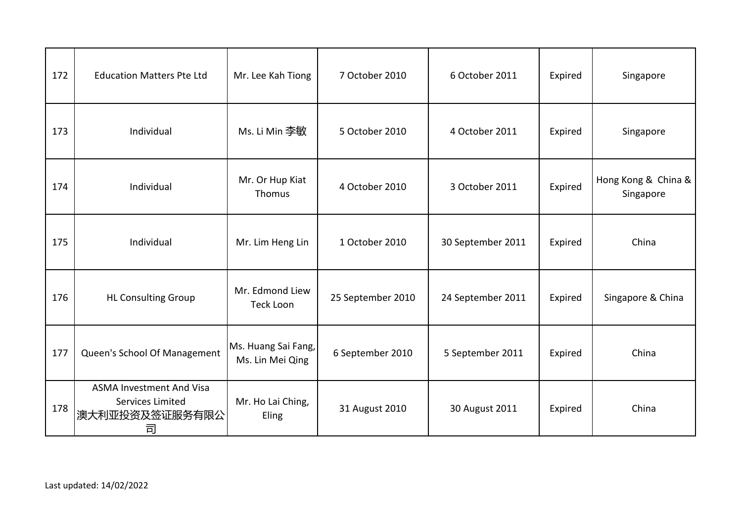| 172 | <b>Education Matters Pte Ltd</b>                                           | Mr. Lee Kah Tiong                       | 7 October 2010    | 6 October 2011    | Expired | Singapore                        |
|-----|----------------------------------------------------------------------------|-----------------------------------------|-------------------|-------------------|---------|----------------------------------|
| 173 | Individual                                                                 | Ms. Li Min 李敏                           | 5 October 2010    | 4 October 2011    | Expired | Singapore                        |
| 174 | Individual                                                                 | Mr. Or Hup Kiat<br>Thomus               | 4 October 2010    | 3 October 2011    | Expired | Hong Kong & China &<br>Singapore |
| 175 | Individual                                                                 | Mr. Lim Heng Lin                        | 1 October 2010    | 30 September 2011 | Expired | China                            |
| 176 | <b>HL Consulting Group</b>                                                 | Mr. Edmond Liew<br>Teck Loon            | 25 September 2010 | 24 September 2011 | Expired | Singapore & China                |
| 177 | Queen's School Of Management                                               | Ms. Huang Sai Fang,<br>Ms. Lin Mei Qing | 6 September 2010  | 5 September 2011  | Expired | China                            |
| 178 | <b>ASMA Investment And Visa</b><br>Services Limited<br>澳大利亚投资及签证服务有限公<br>司 | Mr. Ho Lai Ching,<br>Eling              | 31 August 2010    | 30 August 2011    | Expired | China                            |